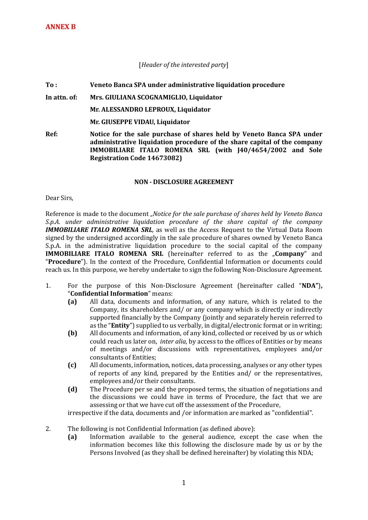## [*Header of the interested party*]

**To : Veneto Banca SPA under administrative liquidation procedure** 

## **In attn. of: Mrs. GIULIANA SCOGNAMIGLIO, Liquidator**

**Mr. ALESSANDRO LEPROUX, Liquidator**

**Mr. GIUSEPPE VIDAU, Liquidator**

**Ref: Notice for the sale purchase of shares held by Veneto Banca SPA under administrative liquidation procedure of the share capital of the company IMMOBILIARE ITALO ROMENA SRL (with J40/4654/2002 and Sole Registration Code 14673082)** 

## **NON - DISCLOSURE AGREEMENT**

Dear Sirs,

Reference is made to the document *"Notice for the sale purchase of shares held by Veneto Banca S.p.A. under administrative liquidation procedure of the share capital of the company IMMOBILIARE ITALO ROMENA SRL,* as well as the Access Request to the Virtual Data Room signed by the undersigned accordingly in the sale procedure of shares owned by Veneto Banca S.p.A. in the administrative liquidation procedure to the social capital of the company **IMMOBILIARE ITALO ROMENA SRL** (hereinafter referred to as the "Company" and "**Procedure**"). In the context of the Procedure, Confidential Information or documents could reach us. In this purpose, we hereby undertake to sign the following Non-Disclosure Agreement.

- 1. For the purpose of this Non-Disclosure Agreement (hereinafter called "**NDA"**)**,** "**Confidential Information**" means:
	- **(a)** All data, documents and information, of any nature, which is related to the Company, its shareholders and/ or any company which is directly or indirectly supported financially by the Company (jointly and separately herein referred to as the "**Entity**") supplied to us verbally, in digital/electronic format or in writing;
	- **(b)** All documents and information, of any kind, collected or received by us or which could reach us later on, *inter alia,* by access to the offices of Entities or by means of meetings and/or discussions with representatives, employees and/or consultants of Entities;
	- **(c)** All documents, information, notices, data processing, analyses or any other types of reports of any kind, prepared by the Entities and/ or the representatives, employees and/or their consultants.
	- **(d)** The Procedure per se and the proposed terms, the situation of negotiations and the discussions we could have in terms of Procedure, the fact that we are assessing or that we have cut off the assessment of the Procedure,

irrespective if the data, documents and /or information are marked as "confidential".

- 2. The following is not Confidential Information (as defined above):
	- **(a)** Information available to the general audience, except the case when the information becomes like this following the disclosure made by us or by the Persons Involved (as they shall be defined hereinafter) by violating this NDA;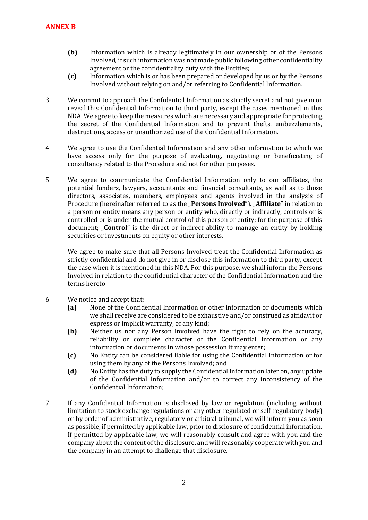- **(b)** Information which is already legitimately in our ownership or of the Persons Involved, if such information was not made public following other confidentiality agreement or the confidentiality duty with the Entities;
- **(c)** Information which is or has been prepared or developed by us or by the Persons Involved without relying on and/or referring to Confidential Information.
- 3. We commit to approach the Confidential Information as strictly secret and not give in or reveal this Confidential Information to third party, except the cases mentioned in this NDA. We agree to keep the measures which are necessary and appropriate for protecting the secret of the Confidential Information and to prevent thefts, embezzlements, destructions, access or unauthorized use of the Confidential Information.
- 4. We agree to use the Confidential Information and any other information to which we have access only for the purpose of evaluating, negotiating or beneficiating of consultancy related to the Procedure and not for other purposes.
- 5. We agree to communicate the Confidential Information only to our affiliates, the potential funders, lawyers, accountants and financial consultants, as well as to those directors, associates, members, employees and agents involved in the analysis of Procedure (hereinafter referred to as the **"Persons Involved**"). **"Affiliate**" in relation to a person or entity means any person or entity who, directly or indirectly, controls or is controlled or is under the mutual control of this person or entity; for the purpose of this document; "**Control**" is the direct or indirect ability to manage an entity by holding securities or investments on equity or other interests.

We agree to make sure that all Persons Involved treat the Confidential Information as strictly confidential and do not give in or disclose this information to third party, except the case when it is mentioned in this NDA. For this purpose, we shall inform the Persons Involved in relation to the confidential character of the Confidential Information and the terms hereto.

- 6. We notice and accept that:
	- **(a)** None of the Confidential Information or other information or documents which we shall receive are considered to be exhaustive and/or construed as affidavit or express or implicit warranty, of any kind;
	- **(b)** Neither us nor any Person Involved have the right to rely on the accuracy, reliability or complete character of the Confidential Information or any information or documents in whose possession it may enter;
	- **(c)** No Entity can be considered liable for using the Confidential Information or for using them by any of the Persons Involved; and
	- **(d)** No Entity has the duty to supply the Confidential Information later on, any update of the Confidential Information and/or to correct any inconsistency of the Confidential Information;
- 7. If any Confidential Information is disclosed by law or regulation (including without limitation to stock exchange regulations or any other regulated or self-regulatory body) or by order of administrative, regulatory or arbitral tribunal, we will inform you as soon as possible, if permitted by applicable law, prior to disclosure of confidential information. If permitted by applicable law, we will reasonably consult and agree with you and the company about the content of the disclosure, and will reasonably cooperate with you and the company in an attempt to challenge that disclosure.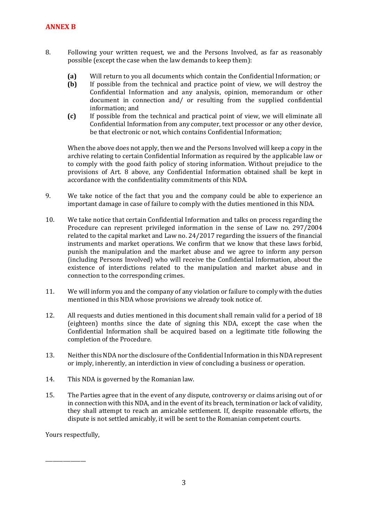- 8. Following your written request, we and the Persons Involved, as far as reasonably possible (except the case when the law demands to keep them):
	- **(a)** Will return to you all documents which contain the Confidential Information; or
	- **(b)** If possible from the technical and practice point of view, we will destroy the Confidential Information and any analysis, opinion, memorandum or other document in connection and/ or resulting from the supplied confidential information; and
	- **(c)** If possible from the technical and practical point of view, we will eliminate all Confidential Information from any computer, text processor or any other device, be that electronic or not, which contains Confidential Information;

When the above does not apply, then we and the Persons Involved will keep a copy in the archive relating to certain Confidential Information as required by the applicable law or to comply with the good faith policy of storing information. Without prejudice to the provisions of Art. 8 above, any Confidential Information obtained shall be kept in accordance with the confidentiality commitments of this NDA.

- 9. We take notice of the fact that you and the company could be able to experience an important damage in case of failure to comply with the duties mentioned in this NDA.
- 10. We take notice that certain Confidential Information and talks on process regarding the Procedure can represent privileged information in the sense of Law no. 297/2004 related to the capital market and Law no. 24/2017 regarding the issuers of the financial instruments and market operations. We confirm that we know that these laws forbid, punish the manipulation and the market abuse and we agree to inform any person (including Persons Involved) who will receive the Confidential Information, about the existence of interdictions related to the manipulation and market abuse and in connection to the corresponding crimes.
- 11. We will inform you and the company of any violation or failure to comply with the duties mentioned in this NDA whose provisions we already took notice of.
- 12. All requests and duties mentioned in this document shall remain valid for a period of 18 (eighteen) months since the date of signing this NDA, except the case when the Confidential Information shall be acquired based on a legitimate title following the completion of the Procedure.
- 13. Neither this NDA nor the disclosure of the Confidential Information in this NDA represent or imply, inherently, an interdiction in view of concluding a business or operation.
- 14. This NDA is governed by the Romanian law.
- 15. The Parties agree that in the event of any dispute, controversy or claims arising out of or in connection with this NDA, and in the event of its breach, termination or lack of validity, they shall attempt to reach an amicable settlement. If, despite reasonable efforts, the dispute is not settled amicably, it will be sent to the Romanian competent courts.

Yours respectfully,

\_\_\_\_\_\_\_\_\_\_\_\_\_\_\_\_